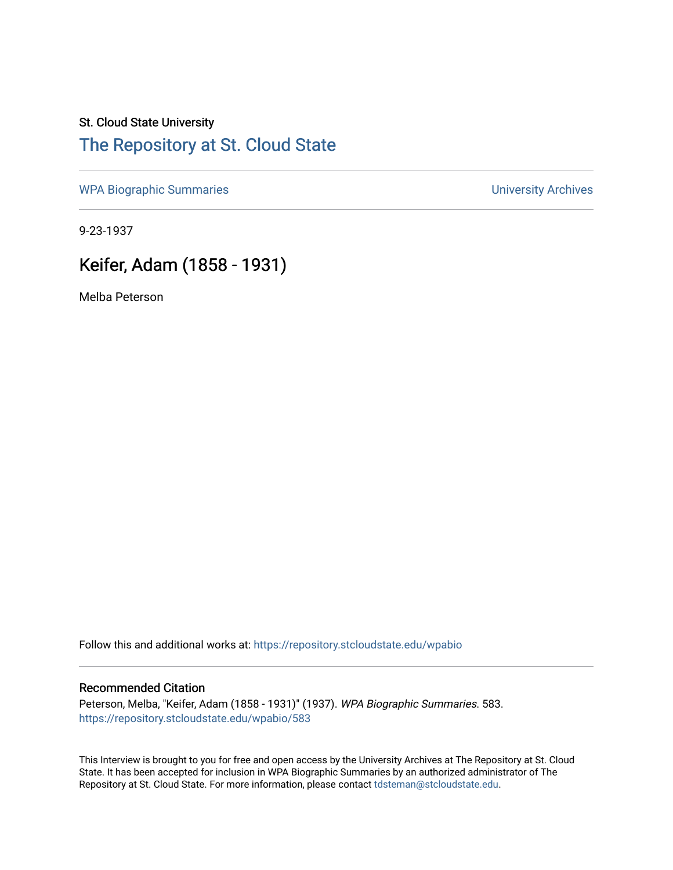## St. Cloud State University [The Repository at St. Cloud State](https://repository.stcloudstate.edu/)

[WPA Biographic Summaries](https://repository.stcloudstate.edu/wpabio) **WPA Biographic Summaries University Archives** 

9-23-1937

# Keifer, Adam (1858 - 1931)

Melba Peterson

Follow this and additional works at: [https://repository.stcloudstate.edu/wpabio](https://repository.stcloudstate.edu/wpabio?utm_source=repository.stcloudstate.edu%2Fwpabio%2F583&utm_medium=PDF&utm_campaign=PDFCoverPages) 

#### Recommended Citation

Peterson, Melba, "Keifer, Adam (1858 - 1931)" (1937). WPA Biographic Summaries. 583. [https://repository.stcloudstate.edu/wpabio/583](https://repository.stcloudstate.edu/wpabio/583?utm_source=repository.stcloudstate.edu%2Fwpabio%2F583&utm_medium=PDF&utm_campaign=PDFCoverPages) 

This Interview is brought to you for free and open access by the University Archives at The Repository at St. Cloud State. It has been accepted for inclusion in WPA Biographic Summaries by an authorized administrator of The Repository at St. Cloud State. For more information, please contact [tdsteman@stcloudstate.edu.](mailto:tdsteman@stcloudstate.edu)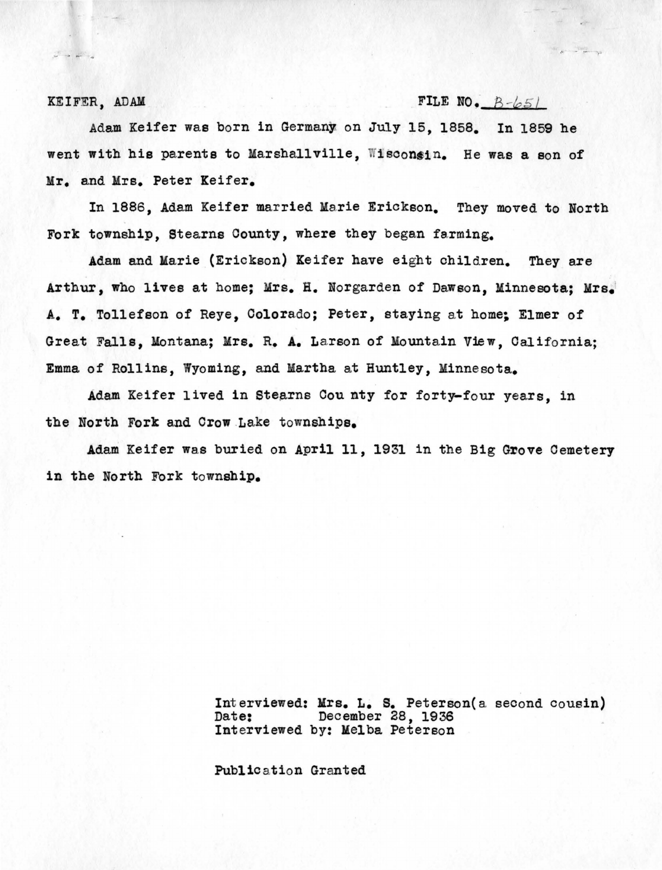$\label{eq:2.1} \omega^{\mu\nu} \rightarrow \omega^{\mu\nu} \; ,$ 

#### KEIFER, ADAM FILE NO.  $B-\sqrt{65}$

Adam Keifer was born in Germany on July 15, 1858. In 1859 he went with his parents to Marshallville, Wisconsin. He was a son of Mr. and Mrs. Peter Keifer.

In 1886, Adam Keifer married Marie Erickson. They moved to North Fork township, Stearns County, where they began farming.

Adam and Marie (Erickson) Keifer have eight children. They are Arthur, who lives at home; Mrs. H. Norgarden of Dawson, Minnesota; Mrs. A. T. Tollefson of Reye, Colorado; Peter, staying at home; Elmer of Great Falls, Montana; Mrs. R. A. Larson of Mountain View, California; Emma of Rollins, Wyoming, and Martha at Huntley, Minnesota.

Adam Keifer lived in Stearns County for forty-four years, in the North Fork and Crow Lake townships.

Adam Keifer was buried on April 11, 1931 in the Big Grove Cemetery in the North Fork township.

> Int erviewed: **Mrs.** L. s. Peterson(a second cousin) Date: December 28, 1936 Interviewed by: Melba Peterson

Public ation Granted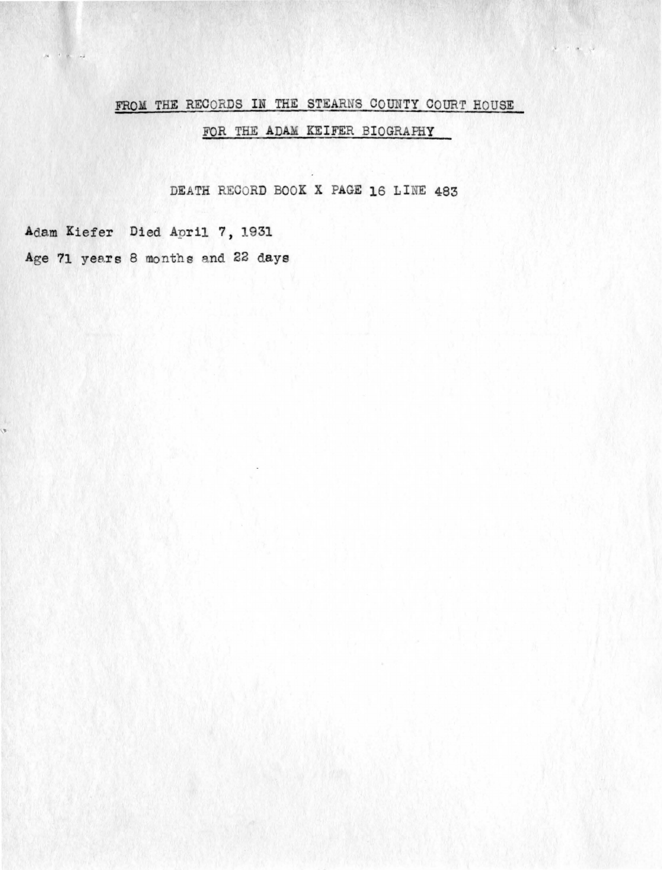### FROM THE RECORDS IN THE STEARNS COUNTY COURT HOUSE

## FOR THE ADAM KEIFER BIOGRAPHY

DEATH RECORD BOOK X PAGE 16 LINE 483

Adam Kiefer Died April 7, 1931 Age 71 years 8 months and 22 days